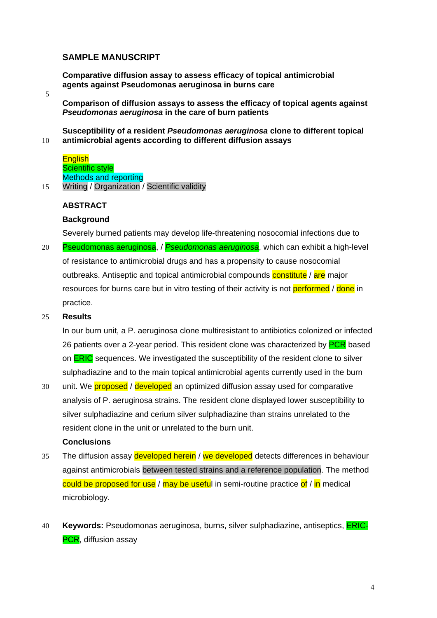# **SAMPLE MANUSCRIPT**

**Comparative diffusion assay to assess efficacy of topical antimicrobial agents against Pseudomonas aeruginosa in burns care** 

5

**Comparison of diffusion assays to assess the efficacy of topical agents against**  *Pseudomonas aeruginosa* **in the care of burn patients** 

10 **Susceptibility of a resident** *Pseudomonas aeruginosa* **clone to different topical antimicrobial agents according to different diffusion assays** 

|    | <b>English</b>                               |
|----|----------------------------------------------|
|    | <b>Scientific style</b>                      |
|    | <b>Methods and reporting</b>                 |
| 15 | Writing / Organization / Scientific validity |

## **ABSTRACT**

## **Background**

Severely burned patients may develop life-threatening nosocomial infections due to

Pseudomonas aeruginosa, / *Pseudomonas aeruginosa*, which can exhibit a high-level of resistance to antimicrobial drugs and has a propensity to cause nosocomial 20 outbreaks. Antiseptic and topical antimicrobial compounds constitute / are major resources for burns care but in vitro testing of their activity is not performed / done in practice.

#### 25 **Results**

In our burn unit, a P. aeruginosa clone multiresistant to antibiotics colonized or infected 26 patients over a 2-year period. This resident clone was characterized by PCR based on **ERIC** sequences. We investigated the susceptibility of the resident clone to silver sulphadiazine and to the main topical antimicrobial agents currently used in the burn

unit. We **proposed** / developed an optimized diffusion assay used for comparative analysis of P. aeruginosa strains. The resident clone displayed lower susceptibility to silver sulphadiazine and cerium silver sulphadiazine than strains unrelated to the resident clone in the unit or unrelated to the burn unit. 30

## **Conclusions**

- 35 The diffusion assay developed herein / we developed detects differences in behaviour against antimicrobials between tested strains and a reference population. The method could be proposed for use / may be useful in semi-routine practice of / in medical microbiology.
- 40 **Keywords:** Pseudomonas aeruginosa, burns, silver sulphadiazine, antiseptics, ERIC-**PCR**, diffusion assav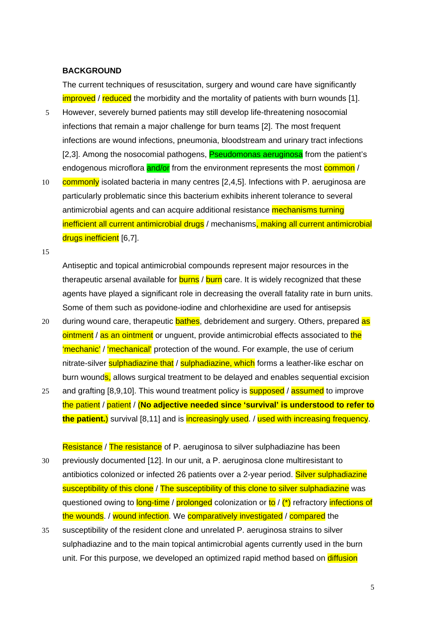### **BACKGROUND**

The current techniques of resuscitation, surgery and wound care have significantly improved / reduced the morbidity and the mortality of patients with burn wounds [1].

- However, severely burned patients may still develop life-threatening nosocomial infections that remain a major challenge for burn teams [2]. The most frequent infections are wound infections, pneumonia, bloodstream and urinary tract infections 5 [2,3]. Among the nosocomial pathogens, **Pseudomonas aeruginosa** from the patient's endogenous microflora and/or from the environment represents the most common /
- commonly isolated bacteria in many centres [2,4,5]. Infections with P. aeruginosa are particularly problematic since this bacterium exhibits inherent tolerance to several 10 antimicrobial agents and can acquire additional resistance **mechanisms turning** inefficient all current antimicrobial drugs / mechanisms, making all current antimicrobial drugs inefficient [6,7].

15

Antiseptic and topical antimicrobial compounds represent major resources in the therapeutic arsenal available for **burns** / burn care. It is widely recognized that these agents have played a significant role in decreasing the overall fatality rate in burn units. Some of them such as povidone-iodine and chlorhexidine are used for antisepsis

- 20 during wound care, therapeutic bathes, debridement and surgery. Others, prepared as ointment / as an ointment or unguent, provide antimicrobial effects associated to the 'mechanic' / 'mechanical' protection of the wound. For example, the use of cerium nitrate-silver **sulphadiazine that** / sulphadiazine, which forms a leather-like eschar on burn wounds, allows surgical treatment to be delayed and enables sequential excision
- 25 and grafting [8,9,10]. This wound treatment policy is **supposed** / assumed to improve the patient / patient / (**No adjective needed since 'survival' is understood to refer to the patient.**) survival [8,11] and is increasingly used. / used with increasing frequency.

Resistance / The resistance of P. aeruginosa to silver sulphadiazine has been 30 previously documented [12]. In our unit, a P. aeruginosa clone multiresistant to antibiotics colonized or infected 26 patients over a 2-year period. Silver sulphadiazine susceptibility of this clone / The susceptibility of this clone to silver sulphadiazine was questioned owing to long-time / prolonged colonization or to / (\*) refractory infections of the wounds. / wound infection. We comparatively investigated / compared the

susceptibility of the resident clone and unrelated P. aeruginosa strains to silver sulphadiazine and to the main topical antimicrobial agents currently used in the burn 35 unit. For this purpose, we developed an optimized rapid method based on diffusion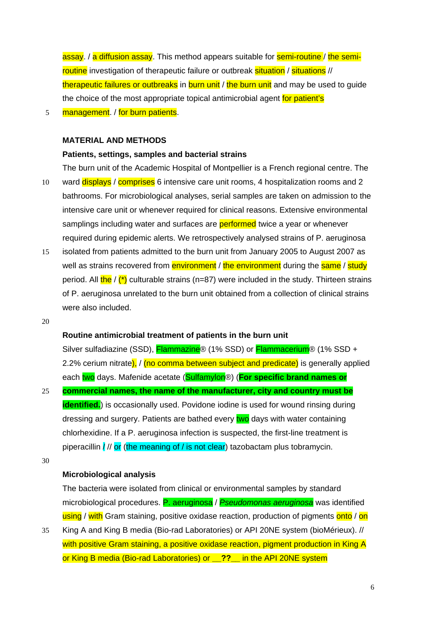assay. / a diffusion assay. This method appears suitable for **semi-routine** / the semiroutine investigation of therapeutic failure or outbreak situation / situations // therapeutic failures or outbreaks in burn unit  $/$  the burn unit and may be used to quide the choice of the most appropriate topical antimicrobial agent for patient's

5 management. / for burn patients.

## **MATERIAL AND METHODS**

## **Patients, settings, samples and bacterial strains**

The burn unit of the Academic Hospital of Montpellier is a French regional centre. The ward displays / comprises 6 intensive care unit rooms, 4 hospitalization rooms and 2 bathrooms. For microbiological analyses, serial samples are taken on admission to the intensive care unit or whenever required for clinical reasons. Extensive environmental 10 samplings including water and surfaces are **performed** twice a year or whenever required during epidemic alerts. We retrospectively analysed strains of P. aeruginosa

- 15 isolated from patients admitted to the burn unit from January 2005 to August 2007 as well as strains recovered from **environment** / the environment during the same / study period. All  $\frac{\text{the}}{\text{c}}$  (\*) culturable strains (n=87) were included in the study. Thirteen strains of P. aeruginosa unrelated to the burn unit obtained from a collection of clinical strains were also included.
- 20

## **Routine antimicrobial treatment of patients in the burn unit**

Silver sulfadiazine (SSD), Flammazine® (1% SSD) or Flammacerium® (1% SSD + 2.2% cerium nitrate), / (no comma between subject and predicate) is generally applied each two days. Mafenide acetate (Sulfamylon®) (**For specific brand names or** 

- 25 **commercial names, the name of the manufacturer, city and country must be identified.**) is occasionally used. Povidone iodine is used for wound rinsing during dressing and surgery. Patients are bathed every two days with water containing chlorhexidine. If a P. aeruginosa infection is suspected, the first-line treatment is piperacillin /// or (the meaning of / is not clear) tazobactam plus tobramycin.
- 30

## **Microbiological analysis**

The bacteria were isolated from clinical or environmental samples by standard microbiological procedures. P. aeruginosa / *Pseudomonas aeruginosa* was identified using / with Gram staining, positive oxidase reaction, production of pigments onto / on

35 King A and King B media (Bio-rad Laboratories) or API 20NE system (bioMérieux). // with positive Gram staining, a positive oxidase reaction, pigment production in King A or King B media (Bio-rad Laboratories) or **\_\_??\_\_** in the API 20NE system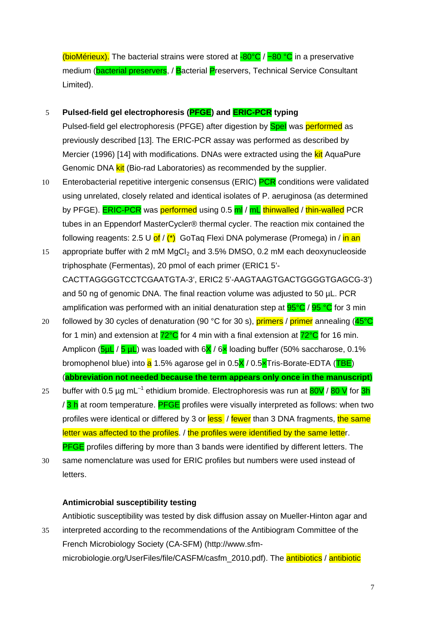(bioMérieux). The bacterial strains were stored at -80°C / −80 °C in a preservative medium (bacterial preservers, / Bacterial Preservers, Technical Service Consultant Limited).

# 5 **Pulsed-field gel electrophoresis (PFGE) and ERIC-PCR typing**

Pulsed-field gel electrophoresis (PFGE) after digestion by **Spel** was performed as previously described [13]. The ERIC-PCR assay was performed as described by Mercier (1996) [14] with modifications. DNAs were extracted using the kit AquaPure Genomic DNA kit (Bio-rad Laboratories) as recommended by the supplier.

- Enterobacterial repetitive intergenic consensus (ERIC) PCR conditions were validated using unrelated, closely related and identical isolates of P. aeruginosa (as determined 10 by PFGE). **ERIC-PCR** was **performed** using 0.5 ml / mL thinwalled / thin-walled PCR tubes in an Eppendorf MasterCycler® thermal cycler. The reaction mix contained the following reagents: 2.5 U of  $/$   $\binom{*}{\cdot}$  GoTaq Flexi DNA polymerase (Promega) in  $/$  in an
- appropriate buffer with 2 mM  $MgCl<sub>2</sub>$  and 3.5% DMSO, 0.2 mM each deoxynucleoside triphosphate (Fermentas), 20 pmol of each primer (ERIC1 5'- CACTTAGGGGTCCTCGAATGTA-3', ERIC2 5'-AAGTAAGTGACTGGGGTGAGCG-3') and 50 ng of genomic DNA. The final reaction volume was adjusted to 50 µL. PCR 15 amplification was performed with an initial denaturation step at  $95^{\circ}C$  /  $95^{\circ}C$  for 3 min
- 20 followed by 30 cycles of denaturation (90 °C for 30 s), **primers** / **primer** annealing ( $45^{\circ}$ C for 1 min) and extension at  $72^{\circ}C$  for 4 min with a final extension at  $72^{\circ}C$  for 16 min. Amplicon ( $5\mu$ L /  $5\mu$ L) was loaded with  $6X$  /  $6x$  loading buffer (50% saccharose, 0.1% bromophenol blue) into a 1.5% agarose gel in 0.5X / 0.5xTris-Borate-EDTA (TBE) (**abbreviation not needed because the term appears only once in the manuscript**)
- 25 buffer with 0.5 µg mL<sup>-1</sup> ethidium bromide. Electrophoresis was run at  $80V / 80 V$  for 3h / 3 h at room temperature. PFGE profiles were visually interpreted as follows: when two profiles were identical or differed by 3 or less / fewer than 3 DNA fragments, the same letter was affected to the profiles. / the profiles were identified by the same letter. **PFGE** profiles differing by more than 3 bands were identified by different letters. The
- same nomenclature was used for ERIC profiles but numbers were used instead of letters. 30

## **Antimicrobial susceptibility testing**

Antibiotic susceptibility was tested by disk diffusion assay on Mueller-Hinton agar and

35 interpreted according to the recommendations of the Antibiogram Committee of the French Microbiology Society (CA-SFM) (http://www.sfmmicrobiologie.org/UserFiles/file/CASFM/casfm\_2010.pdf). The **antibiotics** / antibiotic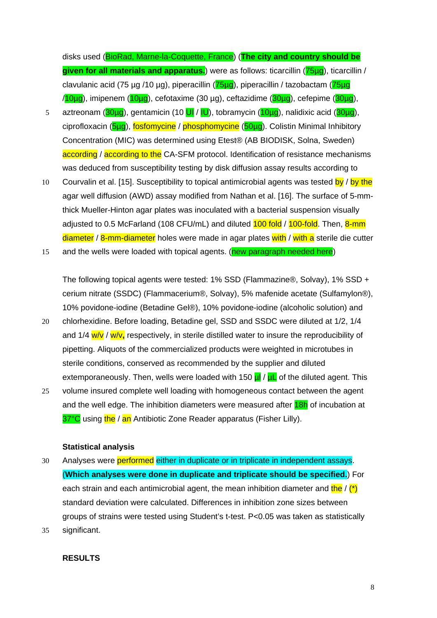disks used (BioRad, Marne-la-Coquette, France) (**The city and country should be given for all materials and apparatus.**) were as follows: ticarcillin (75µg), ticarcillin / clavulanic acid (75 µg /10 µg), piperacillin (**75µg**), piperacillin / tazobactam (**75µg**  $/10\mu$ g), imipenem ( $10\mu$ g), cefotaxime (30 µg), ceftazidime ( $30\mu$ g), cefepime ( $30\mu$ g),

- 5 aztreonam ( $\frac{30\mu q}{q}$ , gentamicin (10 UI / IU), tobramycin ( $\frac{10\mu q}{q}$ ), nalidixic acid ( $\frac{30\mu q}{q}$ ), ciprofloxacin (5µg), fosfomycine / phosphomycine (50µg). Colistin Minimal Inhibitory Concentration (MIC) was determined using Etest® (AB BIODISK, Solna, Sweden) according / according to the CA-SFM protocol. Identification of resistance mechanisms was deduced from susceptibility testing by disk diffusion assay results according to
- Courvalin et al. [15]. Susceptibility to topical antimicrobial agents was tested by / by the agar well diffusion (AWD) assay modified from Nathan et al. [16]. The surface of 5-mmthick Mueller-Hinton agar plates was inoculated with a bacterial suspension visually 10 adjusted to 0.5 McFarland (108 CFU/mL) and diluted **100 fold** / 100-fold. Then, 8-mm diameter / 8-mm-diameter holes were made in agar plates with / with a sterile die cutter
- 15 and the wells were loaded with topical agents. (new paragraph needed here)

The following topical agents were tested: 1% SSD (Flammazine®, Solvay), 1% SSD + cerium nitrate (SSDC) (Flammacerium®, Solvay), 5% mafenide acetate (Sulfamylon®), 10% povidone-iodine (Betadine Gel®), 10% povidone-iodine (alcoholic solution) and

- 20 chlorhexidine. Before loading, Betadine gel, SSD and SSDC were diluted at 1/2, 1/4 and 1/4 w/v / w/v, respectively, in sterile distilled water to insure the reproducibility of pipetting. Aliquots of the commercialized products were weighted in microtubes in sterile conditions, conserved as recommended by the supplier and diluted extemporaneously. Then, wells were loaded with 150  $\mu$  /  $\mu$  of the diluted agent. This
- 25 volume insured complete well loading with homogeneous contact between the agent and the well edge. The inhibition diameters were measured after **18h** of incubation at 37°C using the / an Antibiotic Zone Reader apparatus (Fisher Lilly).

#### **Statistical analysis**

- 30 Analyses were performed either in duplicate or in triplicate in independent assays. (**Which analyses were done in duplicate and triplicate should be specified.**) For each strain and each antimicrobial agent, the mean inhibition diameter and the  $/(*)$ standard deviation were calculated. Differences in inhibition zone sizes between groups of strains were tested using Student's t-test. P<0.05 was taken as statistically 35 significant.
	- **RESULTS**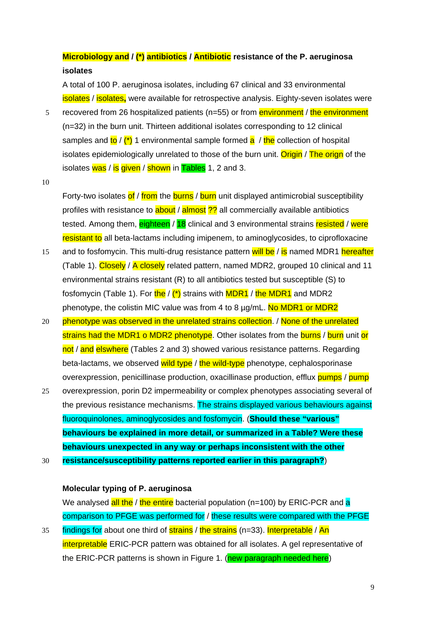**Microbiology and / (\*) antibiotics / Antibiotic resistance of the P. aeruginosa isolates**

A total of 100 P. aeruginosa isolates, including 67 clinical and 33 environmental isolates / isolates**,** were available for retrospective analysis. Eighty-seven isolates were

- recovered from 26 hospitalized patients (n=55) or from **environment** / the environment (n=32) in the burn unit. Thirteen additional isolates corresponding to 12 clinical 5 samples and to / (\*) 1 environmental sample formed a / the collection of hospital isolates epidemiologically unrelated to those of the burn unit. Origin / The orign of the isolates was / is given / shown in Tables 1, 2 and 3.
- 10

Forty-two isolates of / from the burns / burn unit displayed antimicrobial susceptibility profiles with resistance to **about** / **almost ??** all commercially available antibiotics tested. Among them, eighteen / 18 clinical and 3 environmental strains resisted / were resistant to all beta-lactams including imipenem, to aminoglycosides, to ciprofloxacine

- 15 and to fosfomycin. This multi-drug resistance pattern will be / is named MDR1 hereafter (Table 1). Closely / A closely related pattern, named MDR2, grouped 10 clinical and 11 environmental strains resistant (R) to all antibiotics tested but susceptible (S) to fosfomycin (Table 1). For the  $/$  (\*) strains with MDR1  $/$  the MDR1 and MDR2 phenotype, the colistin MIC value was from 4 to 8  $\mu$ g/mL. No MDR1 or MDR2
- 20 phenotype was observed in the unrelated strains collection. / None of the unrelated strains had the MDR1 o MDR2 phenotype. Other isolates from the burns / burn unit or not / and elswhere (Tables 2 and 3) showed various resistance patterns. Regarding beta-lactams, we observed wild type / the wild-type phenotype, cephalosporinase overexpression, penicillinase production, oxacillinase production, efflux **pumps** / pump
- 25 overexpression, porin D2 impermeability or complex phenotypes associating several of the previous resistance mechanisms. The strains displayed various behaviours against fluoroquinolones, aminoglycosides and fosfomycin. (**Should these "various" behaviours be explained in more detail, or summarized in a Table? Were these behaviours unexpected in any way or perhaps inconsistent with the other**
- 30 **resistance/susceptibility patterns reported earlier in this paragraph?**)

#### **Molecular typing of P. aeruginosa**

We analysed all the / the entire bacterial population (n=100) by ERIC-PCR and a comparison to PFGE was performed for / these results were compared with the PFGE

35 findings for about one third of strains / the strains (n=33). Interpretable / An interpretable ERIC-PCR pattern was obtained for all isolates. A gel representative of the ERIC-PCR patterns is shown in Figure 1. (new paragraph needed here)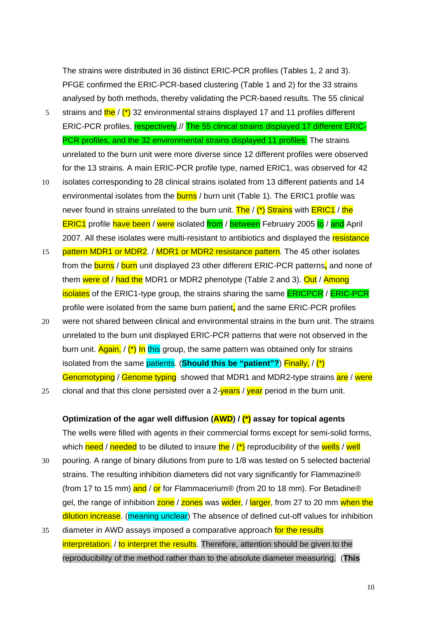The strains were distributed in 36 distinct ERIC-PCR profiles (Tables 1, 2 and 3). PFGE confirmed the ERIC-PCR-based clustering (Table 1 and 2) for the 33 strains analysed by both methods, thereby validating the PCR-based results. The 55 clinical

- 5 strains and the  $/$  (\*) 32 environmental strains displayed 17 and 11 profiles different ERIC-PCR profiles, respectively.// The 55 clinical strains displayed 17 different ERIC-PCR profiles, and the 32 environmental strains displayed 11 profiles. The strains unrelated to the burn unit were more diverse since 12 different profiles were observed for the 13 strains. A main ERIC-PCR profile type, named ERIC1, was observed for 42
- 10 isolates corresponding to 28 clinical strains isolated from 13 different patients and 14 environmental isolates from the **burns** / burn unit (Table 1). The ERIC1 profile was never found in strains unrelated to the burn unit. The / (\*) Strains with ERIC1 / the ERIC1 profile have been / were isolated from / between February 2005 to / and April 2007. All these isolates were multi-resistant to antibiotics and displayed the resistance
- 15 pattern MDR1 or MDR2. / MDR1 or MDR2 resistance pattern. The 45 other isolates from the burns / burn unit displayed 23 other different ERIC-PCR patterns**,** and none of them were of / had the MDR1 or MDR2 phenotype (Table 2 and 3). Out / Among isolates of the ERIC1-type group, the strains sharing the same ERICPCR / ERIC-PCR profile were isolated from the same burn patient**,** and the same ERIC-PCR profiles
- were not shared between clinical and environmental strains in the burn unit. The strains unrelated to the burn unit displayed ERIC-PCR patterns that were not observed in the 20 burn unit. Again, / (\*) In this group, the same pattern was obtained only for strains isolated from the same patients. (**Should this be "patient"?**) Finally, / (\*) Genomotyping / Genome typing showed that MDR1 and MDR2-type strains are / were
- 25 clonal and that this clone persisted over a  $2$ -years / year period in the burn unit.

#### **Optimization of the agar well diffusion (AWD) / (\*) assay for topical agents**

The wells were filled with agents in their commercial forms except for semi-solid forms, which need / needed to be diluted to insure the  $/$  (\*) reproducibility of the wells / well

- pouring. A range of binary dilutions from pure to 1/8 was tested on 5 selected bacterial strains. The resulting inhibition diameters did not vary significantly for Flammazine® 30 (from 17 to 15 mm) and / or for Flammacerium® (from 20 to 18 mm). For Betadine® gel, the range of inhibition zone / zones was wider, / larger, from 27 to 20 mm when the dilution increase. (meaning unclear) The absence of defined cut-off values for inhibition
- 35 diameter in AWD assays imposed a comparative approach for the results interpretation. / to interpret the results. Therefore, attention should be given to the reproducibility of the method rather than to the absolute diameter measuring. (**This**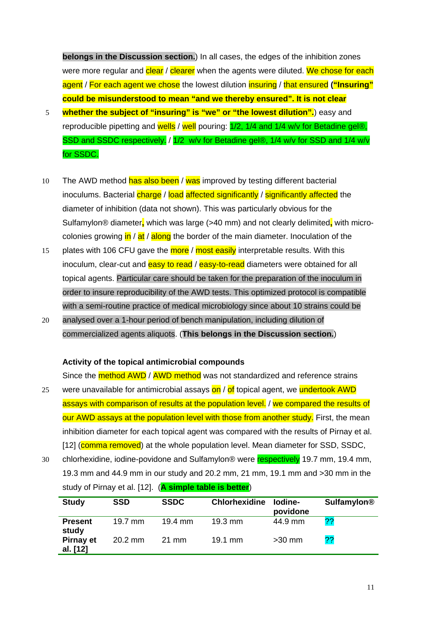**belongs in the Discussion section.**) In all cases, the edges of the inhibition zones were more regular and clear / clearer when the agents were diluted. We chose for each agent / For each agent we chose the lowest dilution insuring / that ensured **("Insuring" could be misunderstood to mean "and we thereby ensured". It is not clear** 

- 5 **whether the subject of "insuring" is "we" or "the lowest dilution".**) easy and reproducible pipetting and wells / well pouring: 1/2, 1/4 and 1/4 w/v for Betadine gel®, SSD and SSDC respectively. / 1/2 w/v for Betadine gel®, 1/4 w/v for SSD and 1/4 w/v for SSDC.
- 10 The AWD method has also been / was improved by testing different bacterial inoculums. Bacterial charge / load affected significantly / significantly affected the diameter of inhibition (data not shown). This was particularly obvious for the Sulfamylon® diameter**,** which was large (>40 mm) and not clearly delimited**,** with microcolonies growing in / at / along the border of the main diameter. Inoculation of the
- 15 plates with 106 CFU gave the more / most easily interpretable results. With this inoculum, clear-cut and **easy to read** / easy-to-read diameters were obtained for all topical agents. Particular care should be taken for the preparation of the inoculum in order to insure reproducibility of the AWD tests. This optimized protocol is compatible with a semi-routine practice of medical microbiology since about 10 strains could be
- 20 analysed over a 1-hour period of bench manipulation, including dilution of commercialized agents aliquots. (**This belongs in the Discussion section.**)

#### **Activity of the topical antimicrobial compounds**

Since the **method AWD** / AWD method was not standardized and reference strains

- 25 were unavailable for antimicrobial assays on / of topical agent, we undertook AWD assays with comparison of results at the population level. / we compared the results of our AWD assays at the population level with those from another study. First, the mean inhibition diameter for each topical agent was compared with the results of Pirnay et al. [12] (comma removed) at the whole population level. Mean diameter for SSD, SSDC,
- chlorhexidine, iodine-povidone and Sulfamylon® were respectively 19.7 mm, 19.4 mm, 19.3 mm and 44.9 mm in our study and 20.2 mm, 21 mm, 19.1 mm and >30 mm in the 30 study of Pirnay et al. [12]. (**A simple table is better**)

| <b>Study</b>                 | <b>SSD</b>        | <b>SSDC</b>       | <b>Chlorhexidine</b> | lodine-<br>povidone | <b>Sulfamylon<sup>®</sup></b> |
|------------------------------|-------------------|-------------------|----------------------|---------------------|-------------------------------|
| <b>Present</b><br>study      | $19.7$ mm         | $19.4 \text{ mm}$ | $19.3 \text{ mm}$    | 44.9 mm             | ??                            |
| <b>Pirnay et</b><br>al. [12] | $20.2 \text{ mm}$ | $21 \text{ mm}$   | $19.1 \text{ mm}$    | $>30$ mm            | 22                            |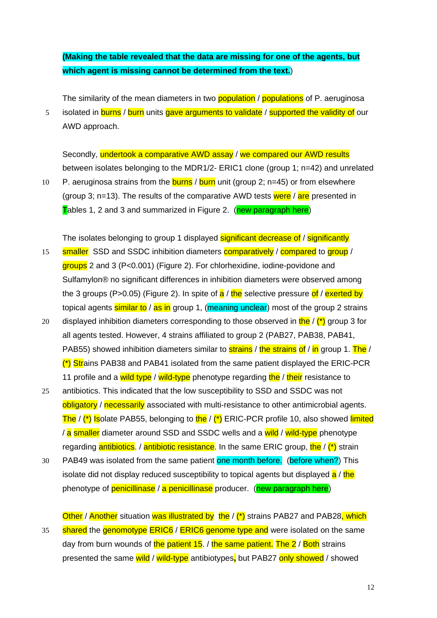# **(Making the table revealed that the data are missing for one of the agents, but which agent is missing cannot be determined from the text.**)

The similarity of the mean diameters in two **population** / populations of P. aeruginosa

isolated in burns / burn units gave arguments to validate / supported the validity of our AWD approach. 5

Secondly, undertook a comparative AWD assay / we compared our AWD results between isolates belonging to the MDR1/2- ERIC1 clone (group 1; n=42) and unrelated

10 P. aeruginosa strains from the **burns** / **burn** unit (group 2; n=45) or from elsewhere (group 3; n=13). The results of the comparative AWD tests were  $/$  are presented in Tables 1, 2 and 3 and summarized in Figure 2. (new paragraph here)

The isolates belonging to group 1 displayed significant decrease of / significantly

- 15 smaller SSD and SSDC inhibition diameters comparatively / compared to group / groups 2 and 3 (P<0.001) (Figure 2). For chlorhexidine, iodine-povidone and Sulfamylon® no significant differences in inhibition diameters were observed among the 3 groups (P>0.05) (Figure 2). In spite of  $a / t$  he selective pressure of / exerted by topical agents similar to / as in group 1, (meaning unclear) most of the group 2 strains
- displayed inhibition diameters corresponding to those observed in  $\frac{\text{the}}{\text{the}}$   $\binom{*}{\text{}}$  group 3 for all agents tested. However, 4 strains affiliated to group 2 (PAB27, PAB38, PAB41, 20 PAB55) showed inhibition diameters similar to **strains** / the strains of / in group 1. The /  $\binom{*}{1}$  Strains PAB38 and PAB41 isolated from the same patient displayed the ERIC-PCR 11 profile and a wild type / wild-type phenotype regarding the / their resistance to
- 25 antibiotics. This indicated that the low susceptibility to SSD and SSDC was not obligatory / necessarily associated with multi-resistance to other antimicrobial agents. The  $/$  (\*) Isolate PAB55, belonging to the  $/$  (\*) ERIC-PCR profile 10, also showed limited / a smaller diameter around SSD and SSDC wells and a wild / wild-type phenotype regarding antibiotics. / antibiotic resistance. In the same ERIC group, the  $/(*)$  strain
- 30 PAB49 was isolated from the same patient one month before. (before when?) This isolate did not display reduced susceptibility to topical agents but displayed a / the phenotype of penicillinase / a penicillinase producer. (new paragraph here)

Other / Another situation was illustrated by the / (\*) strains PAB27 and PAB28, which 35 shared the genomotype ERIC6 / ERIC6 genome type and were isolated on the same day from burn wounds of the patient 15. / the same patient. The 2 / Both strains presented the same wild / wild-type antibiotypes**,** but PAB27 only showed / showed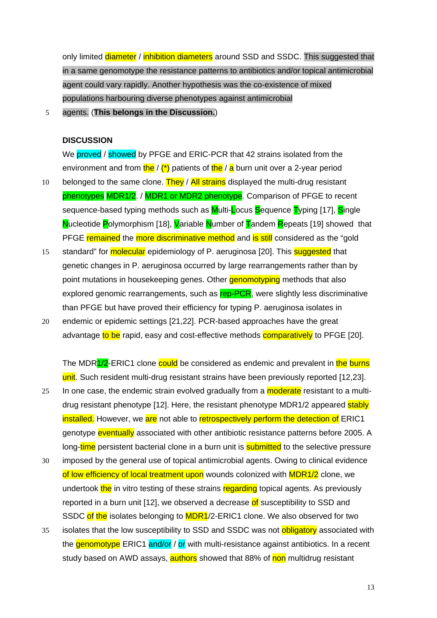only limited diameter / inhibition diameters around SSD and SSDC. This suggested that in a same genomotype the resistance patterns to antibiotics and/or topical antimicrobial agent could vary rapidly. Another hypothesis was the co-existence of mixed populations harbouring diverse phenotypes against antimicrobial

5 agents. (**This belongs in the Discussion.**)

#### **DISCUSSION**

We proved / showed by PFGE and ERIC-PCR that 42 strains isolated from the environment and from  $\frac{\text{the}}{\text{}}$  /  $\binom{*}{\text{}}$  patients of  $\frac{\text{the}}{\text{}}$  /  $\frac{\text{a}}{\text{a}}$  burn unit over a 2-year period 10 belonged to the same clone. They / All strains displayed the multi-drug resistant phenotypes MDR1/2. / MDR1 or MDR2 phenotype. Comparison of PFGE to recent sequence-based typing methods such as Multi-Locus Sequence Typing [17], Single Nucleotide Polymorphism [18], Variable Number of Tandem Repeats [19] showed that PFGE remained the more discriminative method and is still considered as the "gold

- standard" for **molecular** epidemiology of P. aeruginosa [20]. This **suggested** that genetic changes in P. aeruginosa occurred by large rearrangements rather than by 15 point mutations in housekeeping genes. Other **genomotyping** methods that also explored genomic rearrangements, such as rep-PCR, were slightly less discriminative than PFGE but have proved their efficiency for typing P. aeruginosa isolates in
- 20 endemic or epidemic settings [21,22]. PCR-based approaches have the great advantage to be rapid, easy and cost-effective methods comparatively to PFGE [20].

The MDR<sup>1/2</sup>-ERIC1 clone could be considered as endemic and prevalent in the burns unit. Such resident multi-drug resistant strains have been previously reported [12,23].

- 25 In one case, the endemic strain evolved gradually from a **moderate** resistant to a multidrug resistant phenotype [12]. Here, the resistant phenotype MDR1/2 appeared stably installed. However, we are not able to retrospectively perform the detection of ERIC1 genotype eventually associated with other antibiotic resistance patterns before 2005. A long-time persistent bacterial clone in a burn unit is **submitted** to the selective pressure
- 30 imposed by the general use of topical antimicrobial agents. Owing to clinical evidence of low efficiency of local treatment upon wounds colonized with MDR1/2 clone, we undertook the in vitro testing of these strains regarding topical agents. As previously reported in a burn unit [12], we observed a decrease of susceptibility to SSD and SSDC of the isolates belonging to MDR1/2-ERIC1 clone. We also observed for two
- 35 isolates that the low susceptibility to SSD and SSDC was not **obligatory** associated with the **genomotype** ERIC1 and/or / or with multi-resistance against antibiotics. In a recent study based on AWD assays, **authors** showed that 88% of non multidrug resistant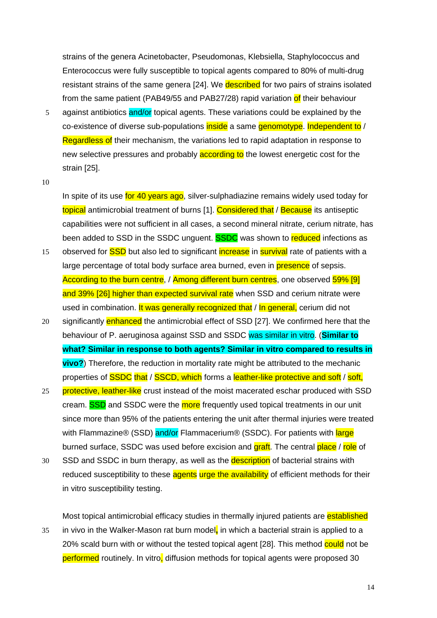strains of the genera Acinetobacter, Pseudomonas, Klebsiella, Staphylococcus and Enterococcus were fully susceptible to topical agents compared to 80% of multi-drug resistant strains of the same genera [24]. We **described** for two pairs of strains isolated from the same patient (PAB49/55 and PAB27/28) rapid variation of their behaviour

5 against antibiotics and/or topical agents. These variations could be explained by the co-existence of diverse sub-populations inside a same genomotype. Independent to / Regardless of their mechanism, the variations led to rapid adaptation in response to new selective pressures and probably **according to** the lowest energetic cost for the strain [25].

10

In spite of its use for 40 years ago, silver-sulphadiazine remains widely used today for topical antimicrobial treatment of burns [1]. Considered that / Because its antiseptic capabilities were not sufficient in all cases, a second mineral nitrate, cerium nitrate, has been added to SSD in the SSDC unguent. **SSDC** was shown to reduced infections as

- 15 observed for **SSD** but also led to significant **increase** in **survival** rate of patients with a large percentage of total body surface area burned, even in **presence** of sepsis. According to the burn centre, / Among different burn centres, one observed 59% [9] and 39% [26] higher than expected survival rate when SSD and cerium nitrate were used in combination. It was generally recognized that / In general, cerium did not
- 20 significantly enhanced the antimicrobial effect of SSD [27]. We confirmed here that the behaviour of P. aeruginosa against SSD and SSDC was similar in vitro. (**Similar to what? Similar in response to both agents? Similar in vitro compared to results in vivo?**) Therefore, the reduction in mortality rate might be attributed to the mechanic properties of **SSDC** that / SSCD, which forms a leather-like protective and soft / soft,
- 25 protective, leather-like crust instead of the moist macerated eschar produced with SSD cream. **SSD** and SSDC were the more frequently used topical treatments in our unit since more than 95% of the patients entering the unit after thermal injuries were treated with Flammazine® (SSD) and/or Flammacerium® (SSDC). For patients with large burned surface, SSDC was used before excision and **graft**. The central **place** / role of
- 30 SSD and SSDC in burn therapy, as well as the **description** of bacterial strains with reduced susceptibility to these agents urge the availability of efficient methods for their in vitro susceptibility testing.

Most topical antimicrobial efficacy studies in thermally injured patients are established 35 in vivo in the Walker-Mason rat burn model**,** in which a bacterial strain is applied to a 20% scald burn with or without the tested topical agent [28]. This method could not be performed routinely. In vitro, diffusion methods for topical agents were proposed 30

14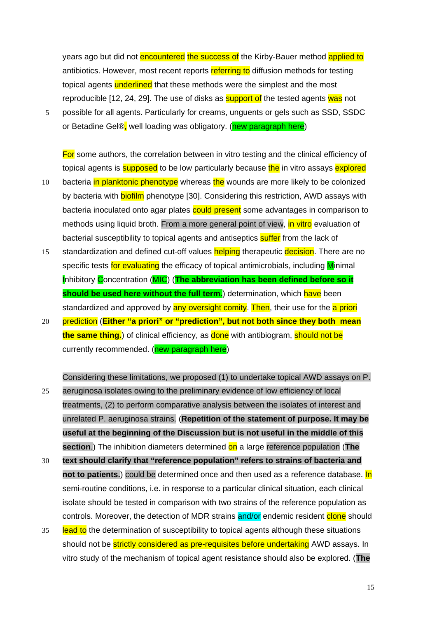years ago but did not encountered the success of the Kirby-Bauer method applied to antibiotics. However, most recent reports referring to diffusion methods for testing topical agents underlined that these methods were the simplest and the most reproducible [12, 24, 29]. The use of disks as **support of** the tested agents was not

5 possible for all agents. Particularly for creams, unguents or gels such as SSD, SSDC or Betadine Gel®**,** well loading was obligatory. (new paragraph here)

For some authors, the correlation between in vitro testing and the clinical efficiency of topical agents is **supposed** to be low particularly because the in vitro assays explored

- 10 bacteria in planktonic phenotype whereas the wounds are more likely to be colonized by bacteria with **biofilm** phenotype [30]. Considering this restriction, AWD assays with bacteria inoculated onto agar plates could present some advantages in comparison to methods using liquid broth. From a more general point of view, in vitro evaluation of bacterial susceptibility to topical agents and antiseptics suffer from the lack of
- 15 standardization and defined cut-off values helping therapeutic decision. There are no specific tests for evaluating the efficacy of topical antimicrobials, including Minimal **Inhibitory Concentration (MIC) (The abbreviation has been defined before so it should be used here without the full term.**) determination, which have been standardized and approved by any oversight comity. Then, their use for the a priori
- 20 prediction (**Either "a priori" or "prediction", but not both since they both mean the same thing.**) of clinical efficiency, as done with antibiogram, should not be currently recommended. (new paragraph here)

Considering these limitations, we proposed (1) to undertake topical AWD assays on P.

- 25 aeruginosa isolates owing to the preliminary evidence of low efficiency of local treatments, (2) to perform comparative analysis between the isolates of interest and unrelated P. aeruginosa strains. (**Repetition of the statement of purpose. It may be useful at the beginning of the Discussion but is not useful in the middle of this section**.) The inhibition diameters determined on a large reference population (**The**
- 30 **text should clarify that "reference population" refers to strains of bacteria and not to patients.**) could be determined once and then used as a reference database. In semi-routine conditions, i.e. in response to a particular clinical situation, each clinical isolate should be tested in comparison with two strains of the reference population as controls. Moreover, the detection of MDR strains and/or endemic resident clone should
- 35 lead to the determination of susceptibility to topical agents although these situations should not be **strictly considered as pre-requisites before undertaking** AWD assays. In vitro study of the mechanism of topical agent resistance should also be explored. (**The**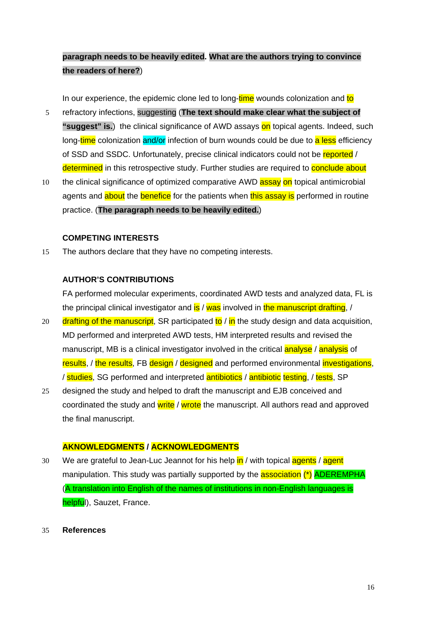# **paragraph needs to be heavily edited. What are the authors trying to convince the readers of here?**)

In our experience, the epidemic clone led to long-time wounds colonization and to

- 5 refractory infections, suggesting (**The text should make clear what the subject of**  "suggest" is.) the clinical significance of AWD assays on topical agents. Indeed, such long-time colonization and/or infection of burn wounds could be due to a less efficiency of SSD and SSDC. Unfortunately, precise clinical indicators could not be reported / determined in this retrospective study. Further studies are required to conclude about
- 10 the clinical significance of optimized comparative AWD assay on topical antimicrobial agents and **about** the **benefice** for the patients when this assay is performed in routine practice. (**The paragraph needs to be heavily edited.**)

# **COMPETING INTERESTS**

15 The authors declare that they have no competing interests.

# **AUTHOR'S CONTRIBUTIONS**

FA performed molecular experiments, coordinated AWD tests and analyzed data, FL is the principal clinical investigator and  $is / was$  involved in the manuscript drafting,  $/$ 

- drafting of the manuscript, SR participated to / in the study design and data acquisition, MD performed and interpreted AWD tests, HM interpreted results and revised the 20 manuscript, MB is a clinical investigator involved in the critical **analyse** / **analysis** of results, / the results, FB design / designed and performed environmental investigations, / studies, SG performed and interpreted **antibiotics** / **antibiotic testing, / tests**, SP
- 25 designed the study and helped to draft the manuscript and EJB conceived and coordinated the study and write / wrote the manuscript. All authors read and approved the final manuscript.

## **AKNOWLEDGMENTS / ACKNOWLEDGMENTS**

30 We are grateful to Jean-Luc Jeannot for his help in / with topical agents / agent manipulation. This study was partially supported by the **association** (\*) **ADEREMPHA** (A translation into English of the names of institutions in non-English languages is helpful), Sauzet, France.

#### 35 **References**